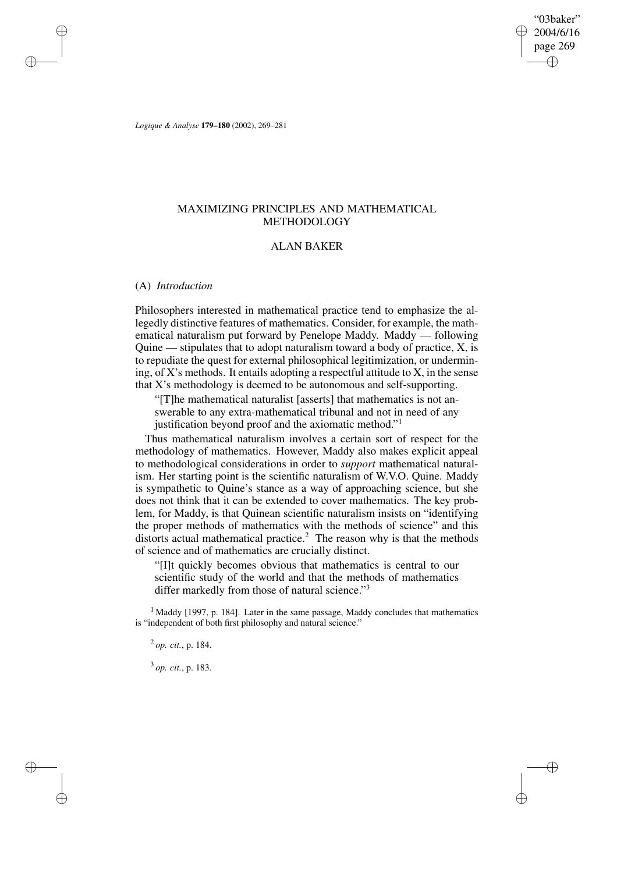"03baker" 2004/6/16 page 269 ✐ ✐

✐

✐

*Logique & Analyse* **179–180** (2002), 269–281

# MAXIMIZING PRINCIPLES AND MATHEMATICAL METHODOLOGY

# ALAN BAKER

## (A) *Introduction*

✐

✐

✐

✐

Philosophers interested in mathematical practice tend to emphasize the allegedly distinctive features of mathematics. Consider, for example, the mathematical naturalism put forward by Penelope Maddy. Maddy — following Quine — stipulates that to adopt naturalism toward a body of practice, X, is to repudiate the quest for external philosophical legitimization, or undermining, of X's methods. It entails adopting a respectful attitude to X, in the sense that X's methodology is deemed to be autonomous and self-supporting.

"[T]he mathematical naturalist [asserts] that mathematics is not answerable to any extra-mathematical tribunal and not in need of any

justification beyond proof and the axiomatic method."<sup>1</sup>

Thus mathematical naturalism involves a certain sort of respect for the methodology of mathematics. However, Maddy also makes explicit appeal to methodological considerations in order to *support* mathematical naturalism. Her starting point is the scientific naturalism of W.V.O. Quine. Maddy is sympathetic to Quine's stance as a way of approaching science, but she does not think that it can be extended to cover mathematics. The key problem, for Maddy, is that Quinean scientific naturalism insists on "identifying the proper methods of mathematics with the methods of science" and this distorts actual mathematical practice.<sup>2</sup> The reason why is that the methods of science and of mathematics are crucially distinct.

"[I]t quickly becomes obvious that mathematics is central to our scientific study of the world and that the methods of mathematics differ markedly from those of natural science."<sup>3</sup>

 $<sup>1</sup>$  Maddy [1997, p. 184]. Later in the same passage, Maddy concludes that mathematics</sup> is "independent of both first philosophy and natural science."

2 *op. cit.*, p. 184.

3 *op. cit.*, p. 183.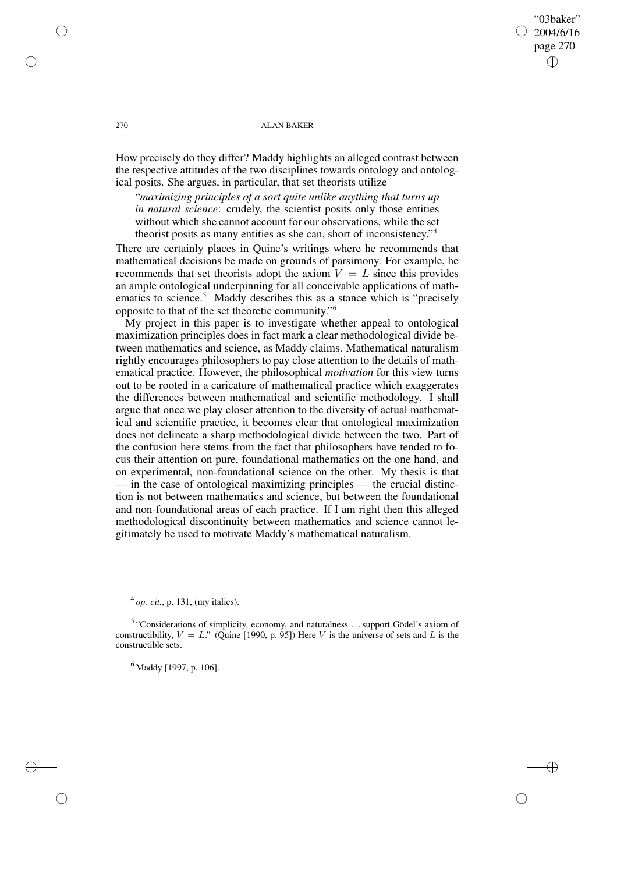## "03baker" 2004/6/16 page 270 ✐ ✐

✐

✐

### 270 ALAN BAKER

How precisely do they differ? Maddy highlights an alleged contrast between the respective attitudes of the two disciplines towards ontology and ontological posits. She argues, in particular, that set theorists utilize

"*maximizing principles of a sort quite unlike anything that turns up in natural science*: crudely, the scientist posits only those entities without which she cannot account for our observations, while the set theorist posits as many entities as she can, short of inconsistency." 4

There are certainly places in Quine's writings where he recommends that mathematical decisions be made on grounds of parsimony. For example, he recommends that set theorists adopt the axiom  $V = L$  since this provides an ample ontological underpinning for all conceivable applications of mathematics to science.<sup>5</sup> Maddy describes this as a stance which is "precisely opposite to that of the set theoretic community." 6

My project in this paper is to investigate whether appeal to ontological maximization principles does in fact mark a clear methodological divide between mathematics and science, as Maddy claims. Mathematical naturalism rightly encourages philosophers to pay close attention to the details of mathematical practice. However, the philosophical *motivation* for this view turns out to be rooted in a caricature of mathematical practice which exaggerates the differences between mathematical and scientific methodology. I shall argue that once we play closer attention to the diversity of actual mathematical and scientific practice, it becomes clear that ontological maximization does not delineate a sharp methodological divide between the two. Part of the confusion here stems from the fact that philosophers have tended to focus their attention on pure, foundational mathematics on the one hand, and on experimental, non-foundational science on the other. My thesis is that — in the case of ontological maximizing principles — the crucial distinction is not between mathematics and science, but between the foundational and non-foundational areas of each practice. If I am right then this alleged methodological discontinuity between mathematics and science cannot legitimately be used to motivate Maddy's mathematical naturalism.

4 *op. cit.*, p. 131, (my italics).

<sup>5</sup> "Considerations of simplicity, economy, and naturalness ... support Gödel's axiom of constructibility,  $V = L$ ." (Quine [1990, p. 95]) Here V is the universe of sets and L is the constructible sets.

 $^{6}$  Maddy [1997, p. 106].

✐

✐

✐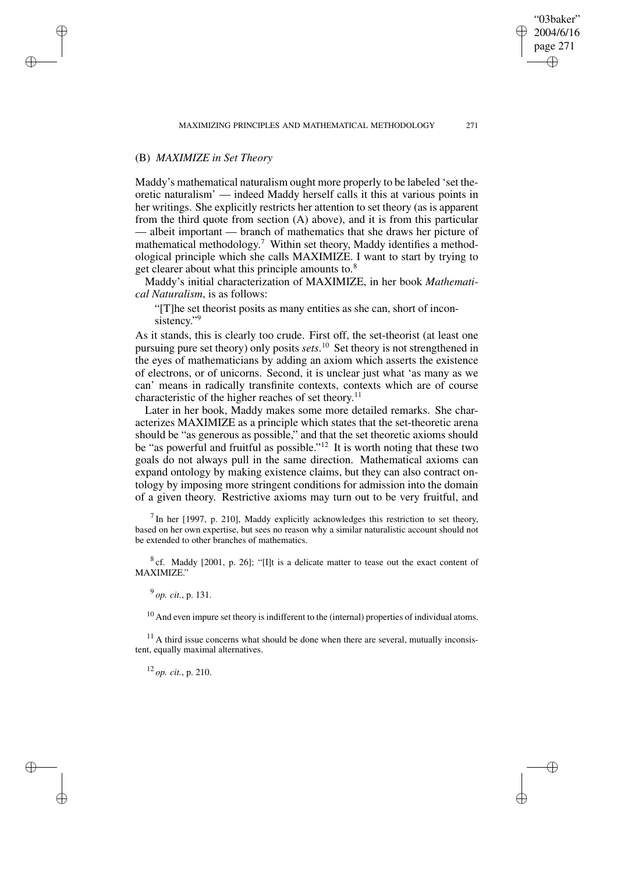# (B) *MAXIMIZE in Set Theory*

✐

✐

✐

✐

Maddy's mathematical naturalism ought more properly to be labeled 'set theoretic naturalism' — indeed Maddy herself calls it this at various points in her writings. She explicitly restricts her attention to set theory (as is apparent from the third quote from section (A) above), and it is from this particular — albeit important — branch of mathematics that she draws her picture of mathematical methodology.<sup>7</sup> Within set theory, Maddy identifies a methodological principle which she calls MAXIMIZE. I want to start by trying to get clearer about what this principle amounts to.<sup>8</sup>

Maddy's initial characterization of MAXIMIZE, in her book *Mathematical Naturalism*, is as follows:

"[T]he set theorist posits as many entities as she can, short of inconsistency."<sup>9</sup>

As it stands, this is clearly too crude. First off, the set-theorist (at least one pursuing pure set theory) only posits *sets*. <sup>10</sup> Set theory is not strengthened in the eyes of mathematicians by adding an axiom which asserts the existence of electrons, or of unicorns. Second, it is unclear just what 'as many as we can' means in radically transfinite contexts, contexts which are of course characteristic of the higher reaches of set theory.<sup>11</sup>

Later in her book, Maddy makes some more detailed remarks. She characterizes MAXIMIZE as a principle which states that the set-theoretic arena should be "as generous as possible," and that the set theoretic axioms should be "as powerful and fruitful as possible."<sup>12</sup> It is worth noting that these two goals do not always pull in the same direction. Mathematical axioms can expand ontology by making existence claims, but they can also contract ontology by imposing more stringent conditions for admission into the domain of a given theory. Restrictive axioms may turn out to be very fruitful, and

 $<sup>7</sup>$  In her [1997, p. 210], Maddy explicitly acknowledges this restriction to set theory,</sup> based on her own expertise, but sees no reason why a similar naturalistic account should not be extended to other branches of mathematics.

 $8$  cf. Maddy [2001, p. 26]; "[I]t is a delicate matter to tease out the exact content of MAXIMIZE."

9 *op. cit.*, p. 131.

 $10$  And even impure set theory is indifferent to the (internal) properties of individual atoms.

 $11$  A third issue concerns what should be done when there are several, mutually inconsistent, equally maximal alternatives.

<sup>12</sup> *op. cit.*, p. 210.

"03baker" 2004/6/16 page 271

✐

✐

✐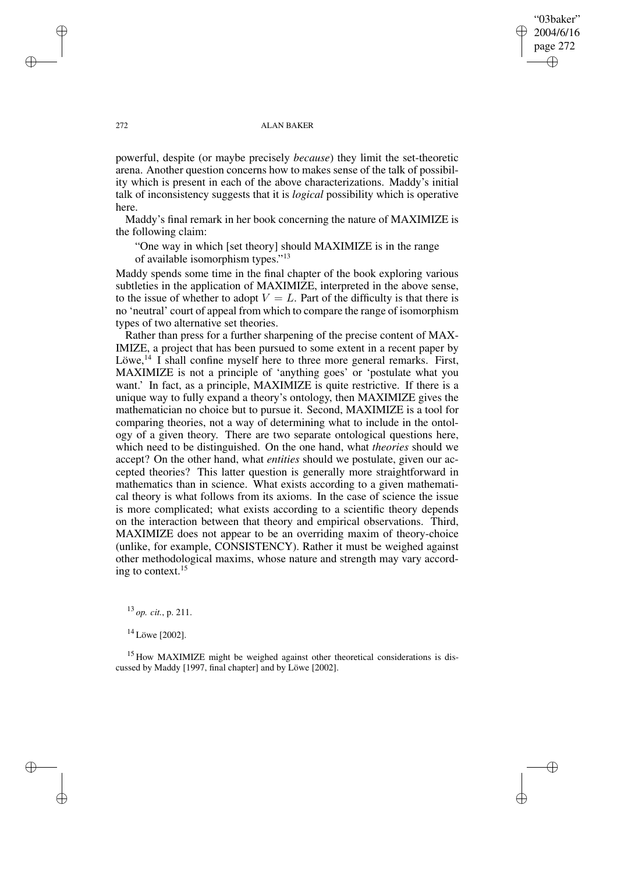## "03baker" 2004/6/16 page 272 ✐ ✐

✐

✐

### 272 ALAN BAKER

powerful, despite (or maybe precisely *because*) they limit the set-theoretic arena. Another question concerns how to makes sense of the talk of possibility which is present in each of the above characterizations. Maddy's initial talk of inconsistency suggests that it is *logical* possibility which is operative here.

Maddy's final remark in her book concerning the nature of MAXIMIZE is the following claim:

"One way in which [set theory] should MAXIMIZE is in the range of available isomorphism types."<sup>13</sup>

Maddy spends some time in the final chapter of the book exploring various subtleties in the application of MAXIMIZE, interpreted in the above sense, to the issue of whether to adopt  $V = L$ . Part of the difficulty is that there is no 'neutral' court of appeal from which to compare the range of isomorphism types of two alternative set theories.

Rather than press for a further sharpening of the precise content of MAX-IMIZE, a project that has been pursued to some extent in a recent paper by Löwe,  $^{14}$  I shall confine myself here to three more general remarks. First, MAXIMIZE is not a principle of 'anything goes' or 'postulate what you want.' In fact, as a principle, MAXIMIZE is quite restrictive. If there is a unique way to fully expand a theory's ontology, then MAXIMIZE gives the mathematician no choice but to pursue it. Second, MAXIMIZE is a tool for comparing theories, not a way of determining what to include in the ontology of a given theory. There are two separate ontological questions here, which need to be distinguished. On the one hand, what *theories* should we accept? On the other hand, what *entities* should we postulate, given our accepted theories? This latter question is generally more straightforward in mathematics than in science. What exists according to a given mathematical theory is what follows from its axioms. In the case of science the issue is more complicated; what exists according to a scientific theory depends on the interaction between that theory and empirical observations. Third, MAXIMIZE does not appear to be an overriding maxim of theory-choice (unlike, for example, CONSISTENCY). Rather it must be weighed against other methodological maxims, whose nature and strength may vary according to context.<sup>15</sup>

<sup>13</sup> *op. cit.*, p. 211.

<sup>14</sup> Löwe [2002].

<sup>15</sup> How MAXIMIZE might be weighed against other theoretical considerations is discussed by Maddy [1997, final chapter] and by Löwe [2002].

✐

✐

✐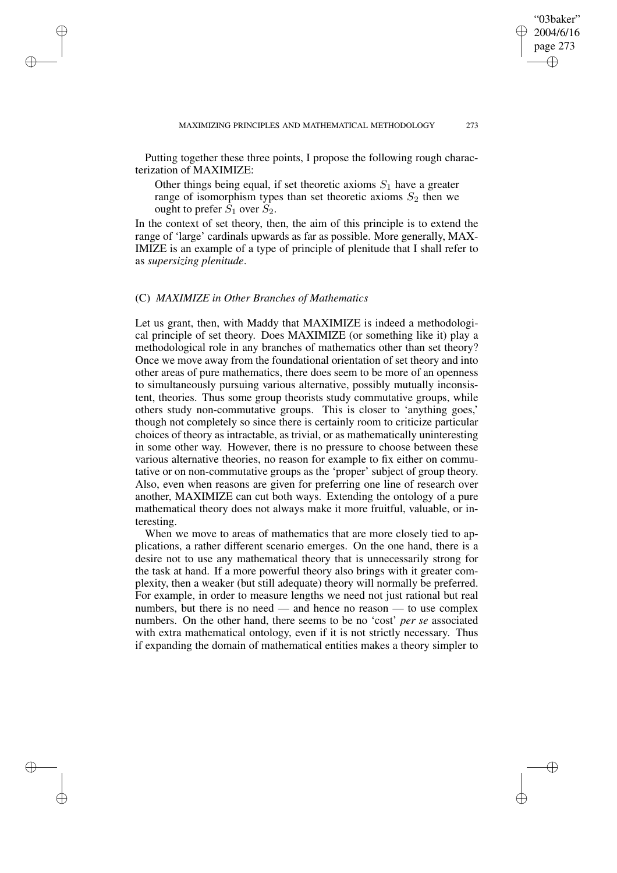Putting together these three points, I propose the following rough characterization of MAXIMIZE:

Other things being equal, if set theoretic axioms  $S_1$  have a greater range of isomorphism types than set theoretic axioms  $S_2$  then we ought to prefer  $S_1$  over  $S_2$ .

In the context of set theory, then, the aim of this principle is to extend the range of 'large' cardinals upwards as far as possible. More generally, MAX-IMIZE is an example of a type of principle of plenitude that I shall refer to as *supersizing plenitude*.

### (C) *MAXIMIZE in Other Branches of Mathematics*

✐

✐

✐

✐

Let us grant, then, with Maddy that MAXIMIZE is indeed a methodological principle of set theory. Does MAXIMIZE (or something like it) play a methodological role in any branches of mathematics other than set theory? Once we move away from the foundational orientation of set theory and into other areas of pure mathematics, there does seem to be more of an openness to simultaneously pursuing various alternative, possibly mutually inconsistent, theories. Thus some group theorists study commutative groups, while others study non-commutative groups. This is closer to 'anything goes,' though not completely so since there is certainly room to criticize particular choices of theory as intractable, as trivial, or as mathematically uninteresting in some other way. However, there is no pressure to choose between these various alternative theories, no reason for example to fix either on commutative or on non-commutative groups as the 'proper' subject of group theory. Also, even when reasons are given for preferring one line of research over another, MAXIMIZE can cut both ways. Extending the ontology of a pure mathematical theory does not always make it more fruitful, valuable, or interesting.

When we move to areas of mathematics that are more closely tied to applications, a rather different scenario emerges. On the one hand, there is a desire not to use any mathematical theory that is unnecessarily strong for the task at hand. If a more powerful theory also brings with it greater complexity, then a weaker (but still adequate) theory will normally be preferred. For example, in order to measure lengths we need not just rational but real numbers, but there is no need — and hence no reason — to use complex numbers. On the other hand, there seems to be no 'cost' *per se* associated with extra mathematical ontology, even if it is not strictly necessary. Thus if expanding the domain of mathematical entities makes a theory simpler to

"03baker" 2004/6/16 page 273

✐

✐

✐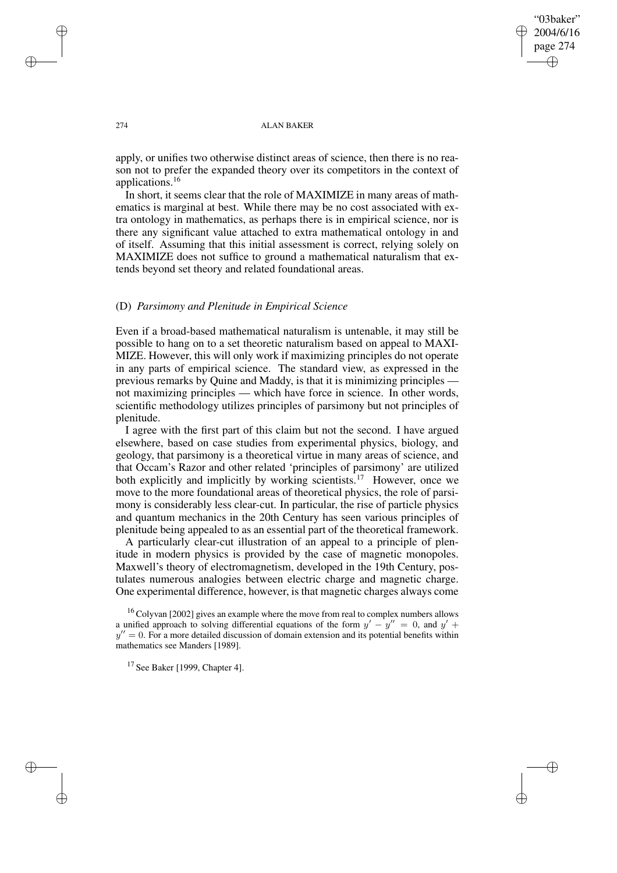"03baker" 2004/6/16 page 274 ✐ ✐

✐

✐

### 274 ALAN BAKER

apply, or unifies two otherwise distinct areas of science, then there is no reason not to prefer the expanded theory over its competitors in the context of applications.<sup>16</sup>

In short, it seems clear that the role of MAXIMIZE in many areas of mathematics is marginal at best. While there may be no cost associated with extra ontology in mathematics, as perhaps there is in empirical science, nor is there any significant value attached to extra mathematical ontology in and of itself. Assuming that this initial assessment is correct, relying solely on MAXIMIZE does not suffice to ground a mathematical naturalism that extends beyond set theory and related foundational areas.

## (D) *Parsimony and Plenitude in Empirical Science*

Even if a broad-based mathematical naturalism is untenable, it may still be possible to hang on to a set theoretic naturalism based on appeal to MAXI-MIZE. However, this will only work if maximizing principles do not operate in any parts of empirical science. The standard view, as expressed in the previous remarks by Quine and Maddy, is that it is minimizing principles not maximizing principles — which have force in science. In other words, scientific methodology utilizes principles of parsimony but not principles of plenitude.

I agree with the first part of this claim but not the second. I have argued elsewhere, based on case studies from experimental physics, biology, and geology, that parsimony is a theoretical virtue in many areas of science, and that Occam's Razor and other related 'principles of parsimony' are utilized both explicitly and implicitly by working scientists.<sup>17</sup> However, once we move to the more foundational areas of theoretical physics, the role of parsimony is considerably less clear-cut. In particular, the rise of particle physics and quantum mechanics in the 20th Century has seen various principles of plenitude being appealed to as an essential part of the theoretical framework.

A particularly clear-cut illustration of an appeal to a principle of plenitude in modern physics is provided by the case of magnetic monopoles. Maxwell's theory of electromagnetism, developed in the 19th Century, postulates numerous analogies between electric charge and magnetic charge. One experimental difference, however, is that magnetic charges always come

✐

✐

✐

<sup>&</sup>lt;sup>16</sup> Colyvan [2002] gives an example where the move from real to complex numbers allows a unified approach to solving differential equations of the form  $y' - y'' = 0$ , and  $y' +$  $y'' = 0$ . For a more detailed discussion of domain extension and its potential benefits within mathematics see Manders [1989].

 $17$  See Baker [1999, Chapter 4].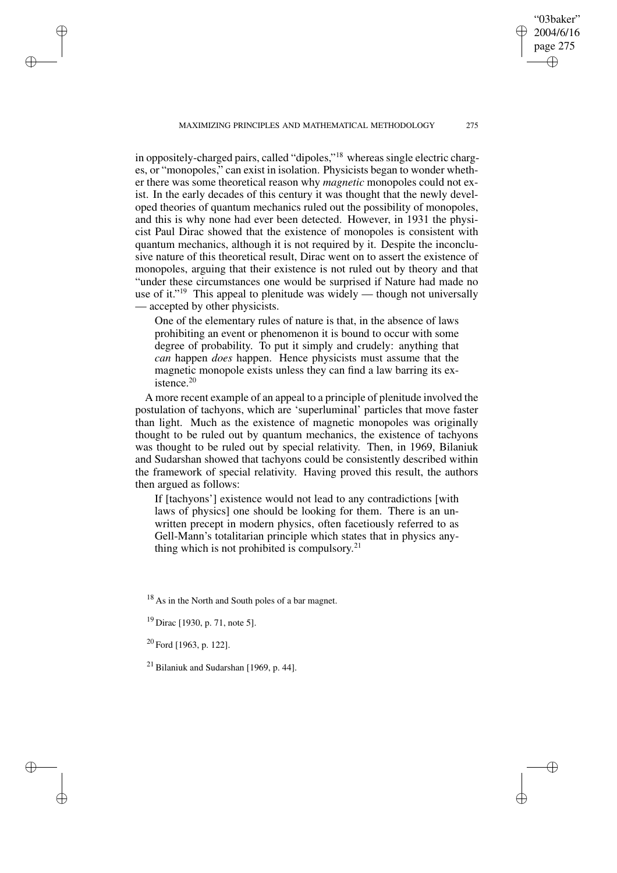MAXIMIZING PRINCIPLES AND MATHEMATICAL METHODOLOGY 275

in oppositely-charged pairs, called "dipoles,"<sup>18</sup> whereas single electric charges, or "monopoles," can exist in isolation. Physicists began to wonder whether there was some theoretical reason why *magnetic* monopoles could not exist. In the early decades of this century it was thought that the newly developed theories of quantum mechanics ruled out the possibility of monopoles, and this is why none had ever been detected. However, in 1931 the physicist Paul Dirac showed that the existence of monopoles is consistent with quantum mechanics, although it is not required by it. Despite the inconclusive nature of this theoretical result, Dirac went on to assert the existence of monopoles, arguing that their existence is not ruled out by theory and that "under these circumstances one would be surprised if Nature had made no use of it."<sup>19</sup> This appeal to plenitude was widely — though not universally — accepted by other physicists.

One of the elementary rules of nature is that, in the absence of laws prohibiting an event or phenomenon it is bound to occur with some degree of probability. To put it simply and crudely: anything that *can* happen *does* happen. Hence physicists must assume that the magnetic monopole exists unless they can find a law barring its existence.<sup>20</sup>

A more recent example of an appeal to a principle of plenitude involved the postulation of tachyons, which are 'superluminal' particles that move faster than light. Much as the existence of magnetic monopoles was originally thought to be ruled out by quantum mechanics, the existence of tachyons was thought to be ruled out by special relativity. Then, in 1969, Bilaniuk and Sudarshan showed that tachyons could be consistently described within the framework of special relativity. Having proved this result, the authors then argued as follows:

If [tachyons'] existence would not lead to any contradictions [with laws of physics] one should be looking for them. There is an unwritten precept in modern physics, often facetiously referred to as Gell-Mann's totalitarian principle which states that in physics anything which is not prohibited is compulsory. 21

<sup>18</sup> As in the North and South poles of a bar magnet.

<sup>20</sup> Ford [1963, p. 122].

✐

✐

✐

✐

<sup>21</sup> Bilaniuk and Sudarshan [1969, p. 44].

"03baker" 2004/6/16 page 275

✐

✐

✐

 $19$  Dirac [1930, p. 71, note 5].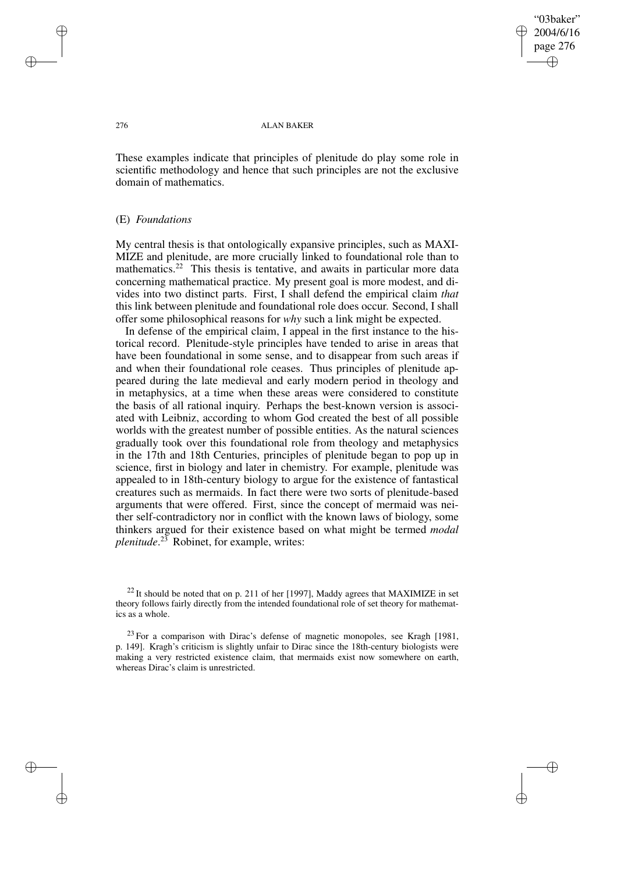"03baker" 2004/6/16 page 276 ✐ ✐

✐

✐

### 276 ALAN BAKER

These examples indicate that principles of plenitude do play some role in scientific methodology and hence that such principles are not the exclusive domain of mathematics.

### (E) *Foundations*

My central thesis is that ontologically expansive principles, such as MAXI-MIZE and plenitude, are more crucially linked to foundational role than to mathematics.<sup>22</sup> This thesis is tentative, and awaits in particular more data concerning mathematical practice. My present goal is more modest, and divides into two distinct parts. First, I shall defend the empirical claim *that* this link between plenitude and foundational role does occur. Second, I shall offer some philosophical reasons for *why* such a link might be expected.

In defense of the empirical claim, I appeal in the first instance to the historical record. Plenitude-style principles have tended to arise in areas that have been foundational in some sense, and to disappear from such areas if and when their foundational role ceases. Thus principles of plenitude appeared during the late medieval and early modern period in theology and in metaphysics, at a time when these areas were considered to constitute the basis of all rational inquiry. Perhaps the best-known version is associated with Leibniz, according to whom God created the best of all possible worlds with the greatest number of possible entities. As the natural sciences gradually took over this foundational role from theology and metaphysics in the 17th and 18th Centuries, principles of plenitude began to pop up in science, first in biology and later in chemistry. For example, plenitude was appealed to in 18th-century biology to argue for the existence of fantastical creatures such as mermaids. In fact there were two sorts of plenitude-based arguments that were offered. First, since the concept of mermaid was neither self-contradictory nor in conflict with the known laws of biology, some thinkers argued for their existence based on what might be termed *modal plenitude*. <sup>23</sup> Robinet, for example, writes:

✐

✐

✐

 $^{22}$  It should be noted that on p. 211 of her [1997], Maddy agrees that MAXIMIZE in set theory follows fairly directly from the intended foundational role of set theory for mathematics as a whole.

<sup>&</sup>lt;sup>23</sup> For a comparison with Dirac's defense of magnetic monopoles, see Kragh [1981, p. 149]. Kragh's criticism is slightly unfair to Dirac since the 18th-century biologists were making a very restricted existence claim, that mermaids exist now somewhere on earth, whereas Dirac's claim is unrestricted.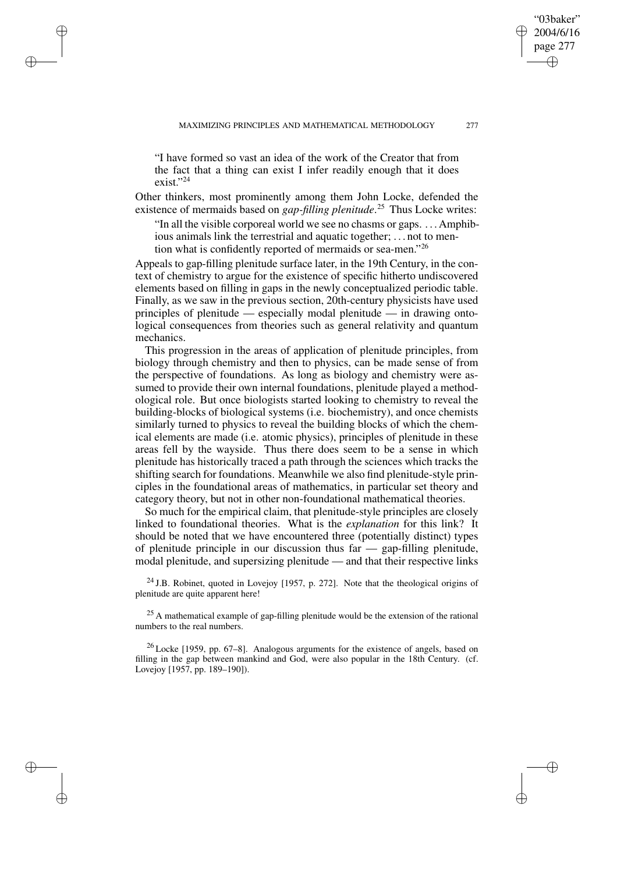"I have formed so vast an idea of the work of the Creator that from the fact that a thing can exist I infer readily enough that it does exist."<sup>24</sup>

✐

✐

✐

✐

Other thinkers, most prominently among them John Locke, defended the existence of mermaids based on *gap-filling plenitude*. <sup>25</sup> Thus Locke writes:

"In all the visible corporeal world we see no chasms or gaps. . . . Amphibious animals link the terrestrial and aquatic together; . . . not to mention what is confidently reported of mermaids or sea-men."26

Appeals to gap-filling plenitude surface later, in the 19th Century, in the context of chemistry to argue for the existence of specific hitherto undiscovered elements based on filling in gaps in the newly conceptualized periodic table. Finally, as we saw in the previous section, 20th-century physicists have used principles of plenitude — especially modal plenitude — in drawing ontological consequences from theories such as general relativity and quantum mechanics.

This progression in the areas of application of plenitude principles, from biology through chemistry and then to physics, can be made sense of from the perspective of foundations. As long as biology and chemistry were assumed to provide their own internal foundations, plenitude played a methodological role. But once biologists started looking to chemistry to reveal the building-blocks of biological systems (i.e. biochemistry), and once chemists similarly turned to physics to reveal the building blocks of which the chemical elements are made (i.e. atomic physics), principles of plenitude in these areas fell by the wayside. Thus there does seem to be a sense in which plenitude has historically traced a path through the sciences which tracks the shifting search for foundations. Meanwhile we also find plenitude-style principles in the foundational areas of mathematics, in particular set theory and category theory, but not in other non-foundational mathematical theories.

So much for the empirical claim, that plenitude-style principles are closely linked to foundational theories. What is the *explanation* for this link? It should be noted that we have encountered three (potentially distinct) types of plenitude principle in our discussion thus far — gap-filling plenitude, modal plenitude, and supersizing plenitude — and that their respective links

 $24$  J.B. Robinet, quoted in Lovejoy [1957, p. 272]. Note that the theological origins of plenitude are quite apparent here!

<sup>25</sup> A mathematical example of gap-filling plenitude would be the extension of the rational numbers to the real numbers.

<sup>26</sup> Locke [1959, pp. 67–8]. Analogous arguments for the existence of angels, based on filling in the gap between mankind and God, were also popular in the 18th Century. (cf. Lovejoy [1957, pp. 189–190]).

"03baker" 2004/6/16 page 277

✐

✐

✐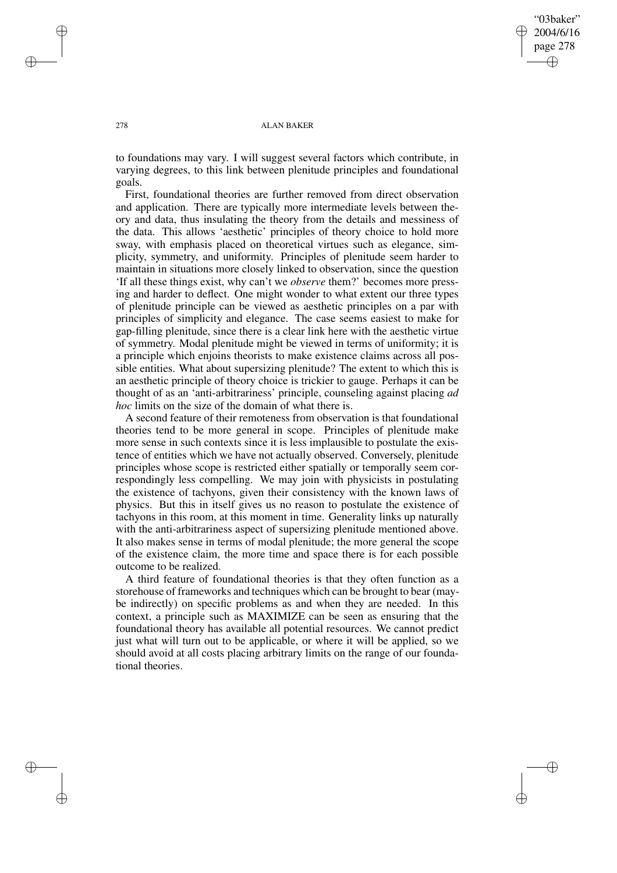"03baker" 2004/6/16 page 278 ✐ ✐

✐

✐

### 278 ALAN BAKER

to foundations may vary. I will suggest several factors which contribute, in varying degrees, to this link between plenitude principles and foundational goals.

First, foundational theories are further removed from direct observation and application. There are typically more intermediate levels between theory and data, thus insulating the theory from the details and messiness of the data. This allows 'aesthetic' principles of theory choice to hold more sway, with emphasis placed on theoretical virtues such as elegance, simplicity, symmetry, and uniformity. Principles of plenitude seem harder to maintain in situations more closely linked to observation, since the question 'If all these things exist, why can't we *observe* them?' becomes more pressing and harder to deflect. One might wonder to what extent our three types of plenitude principle can be viewed as aesthetic principles on a par with principles of simplicity and elegance. The case seems easiest to make for gap-filling plenitude, since there is a clear link here with the aesthetic virtue of symmetry. Modal plenitude might be viewed in terms of uniformity; it is a principle which enjoins theorists to make existence claims across all possible entities. What about supersizing plenitude? The extent to which this is an aesthetic principle of theory choice is trickier to gauge. Perhaps it can be thought of as an 'anti-arbitrariness' principle, counseling against placing *ad hoc* limits on the size of the domain of what there is.

A second feature of their remoteness from observation is that foundational theories tend to be more general in scope. Principles of plenitude make more sense in such contexts since it is less implausible to postulate the existence of entities which we have not actually observed. Conversely, plenitude principles whose scope is restricted either spatially or temporally seem correspondingly less compelling. We may join with physicists in postulating the existence of tachyons, given their consistency with the known laws of physics. But this in itself gives us no reason to postulate the existence of tachyons in this room, at this moment in time. Generality links up naturally with the anti-arbitrariness aspect of supersizing plenitude mentioned above. It also makes sense in terms of modal plenitude; the more general the scope of the existence claim, the more time and space there is for each possible outcome to be realized.

A third feature of foundational theories is that they often function as a storehouse of frameworks and techniques which can be brought to bear (maybe indirectly) on specific problems as and when they are needed. In this context, a principle such as MAXIMIZE can be seen as ensuring that the foundational theory has available all potential resources. We cannot predict just what will turn out to be applicable, or where it will be applied, so we should avoid at all costs placing arbitrary limits on the range of our foundational theories.

✐

✐

✐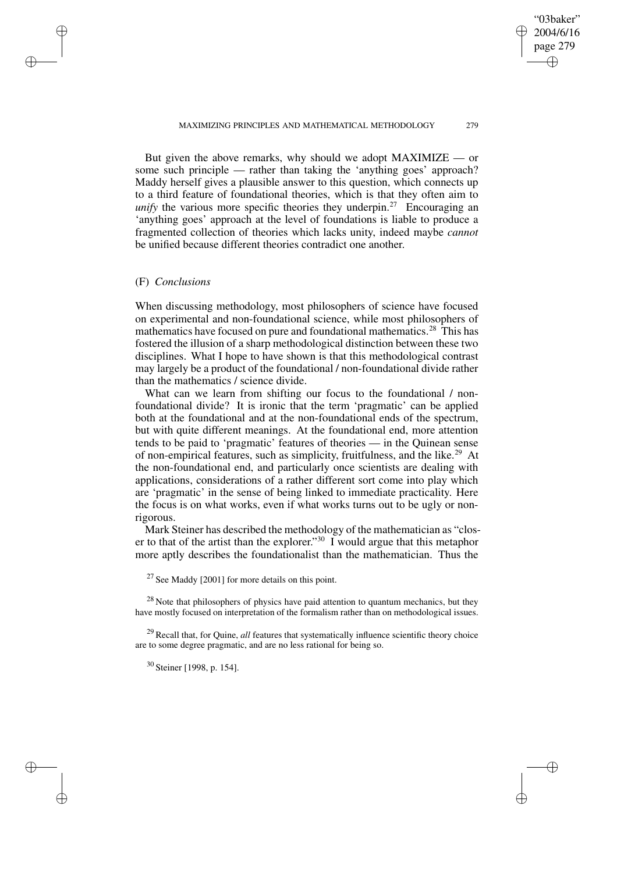But given the above remarks, why should we adopt MAXIMIZE — or some such principle — rather than taking the 'anything goes' approach? Maddy herself gives a plausible answer to this question, which connects up to a third feature of foundational theories, which is that they often aim to *unify* the various more specific theories they underpin.<sup>27</sup> Encouraging an 'anything goes' approach at the level of foundations is liable to produce a fragmented collection of theories which lacks unity, indeed maybe *cannot* be unified because different theories contradict one another.

### (F) *Conclusions*

✐

✐

✐

✐

When discussing methodology, most philosophers of science have focused on experimental and non-foundational science, while most philosophers of mathematics have focused on pure and foundational mathematics.<sup>28</sup> This has fostered the illusion of a sharp methodological distinction between these two disciplines. What I hope to have shown is that this methodological contrast may largely be a product of the foundational / non-foundational divide rather than the mathematics / science divide.

What can we learn from shifting our focus to the foundational / nonfoundational divide? It is ironic that the term 'pragmatic' can be applied both at the foundational and at the non-foundational ends of the spectrum, but with quite different meanings. At the foundational end, more attention tends to be paid to 'pragmatic' features of theories — in the Quinean sense of non-empirical features, such as simplicity, fruitfulness, and the like.<sup>29</sup> At the non-foundational end, and particularly once scientists are dealing with applications, considerations of a rather different sort come into play which are 'pragmatic' in the sense of being linked to immediate practicality. Here the focus is on what works, even if what works turns out to be ugly or nonrigorous.

Mark Steiner has described the methodology of the mathematician as "closer to that of the artist than the explorer." <sup>30</sup> I would argue that this metaphor more aptly describes the foundationalist than the mathematician. Thus the

 $27$  See Maddy [2001] for more details on this point.

 $28$  Note that philosophers of physics have paid attention to quantum mechanics, but they have mostly focused on interpretation of the formalism rather than on methodological issues.

<sup>29</sup> Recall that, for Quine, *all* features that systematically influence scientific theory choice are to some degree pragmatic, and are no less rational for being so.

<sup>30</sup> Steiner [1998, p. 154].

"03baker" 2004/6/16 page 279

✐

✐

✐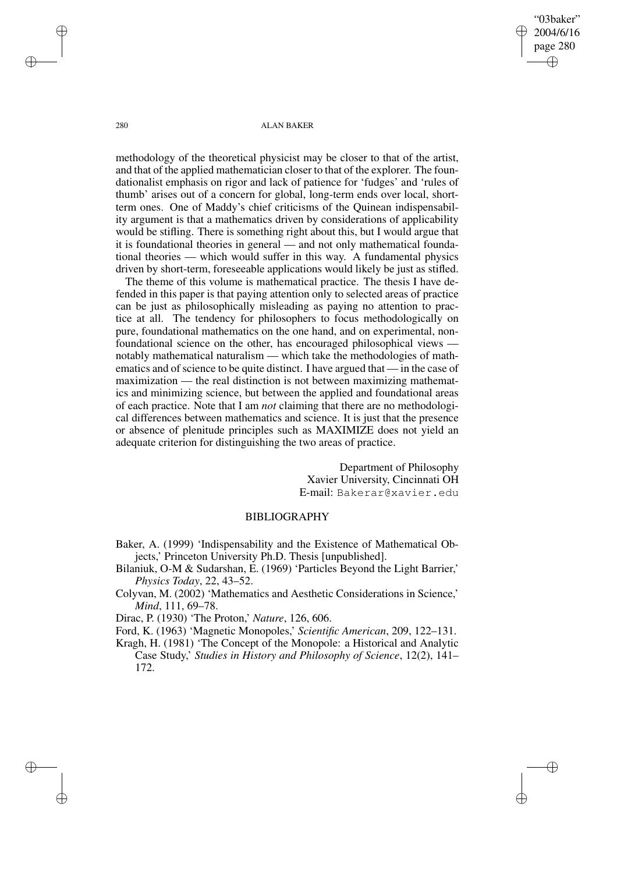"03baker" 2004/6/16 page 280 ✐ ✐

✐

✐

280 ALAN BAKER

methodology of the theoretical physicist may be closer to that of the artist, and that of the applied mathematician closer to that of the explorer. The foundationalist emphasis on rigor and lack of patience for 'fudges' and 'rules of thumb' arises out of a concern for global, long-term ends over local, shortterm ones. One of Maddy's chief criticisms of the Quinean indispensability argument is that a mathematics driven by considerations of applicability would be stifling. There is something right about this, but I would argue that it is foundational theories in general — and not only mathematical foundational theories — which would suffer in this way. A fundamental physics driven by short-term, foreseeable applications would likely be just as stifled.

The theme of this volume is mathematical practice. The thesis I have defended in this paper is that paying attention only to selected areas of practice can be just as philosophically misleading as paying no attention to practice at all. The tendency for philosophers to focus methodologically on pure, foundational mathematics on the one hand, and on experimental, nonfoundational science on the other, has encouraged philosophical views notably mathematical naturalism — which take the methodologies of mathematics and of science to be quite distinct. I have argued that — in the case of maximization — the real distinction is not between maximizing mathematics and minimizing science, but between the applied and foundational areas of each practice. Note that I am *not* claiming that there are no methodological differences between mathematics and science. It is just that the presence or absence of plenitude principles such as MAXIMIZE does not yield an adequate criterion for distinguishing the two areas of practice.

> Department of Philosophy Xavier University, Cincinnati OH E-mail: Bakerar@xavier.edu

# BIBLIOGRAPHY

- Baker, A. (1999) 'Indispensability and the Existence of Mathematical Objects,' Princeton University Ph.D. Thesis [unpublished].
- Bilaniuk, O-M & Sudarshan, E. (1969) 'Particles Beyond the Light Barrier,' *Physics Today*, 22, 43–52.
- Colyvan, M. (2002) 'Mathematics and Aesthetic Considerations in Science,' *Mind*, 111, 69–78.

Dirac, P. (1930) 'The Proton,' *Nature*, 126, 606.

Ford, K. (1963) 'Magnetic Monopoles,' *Scientific American*, 209, 122–131.

Kragh, H. (1981) 'The Concept of the Monopole: a Historical and Analytic Case Study,' *Studies in History and Philosophy of Science*, 12(2), 141– 172.

✐

✐

✐